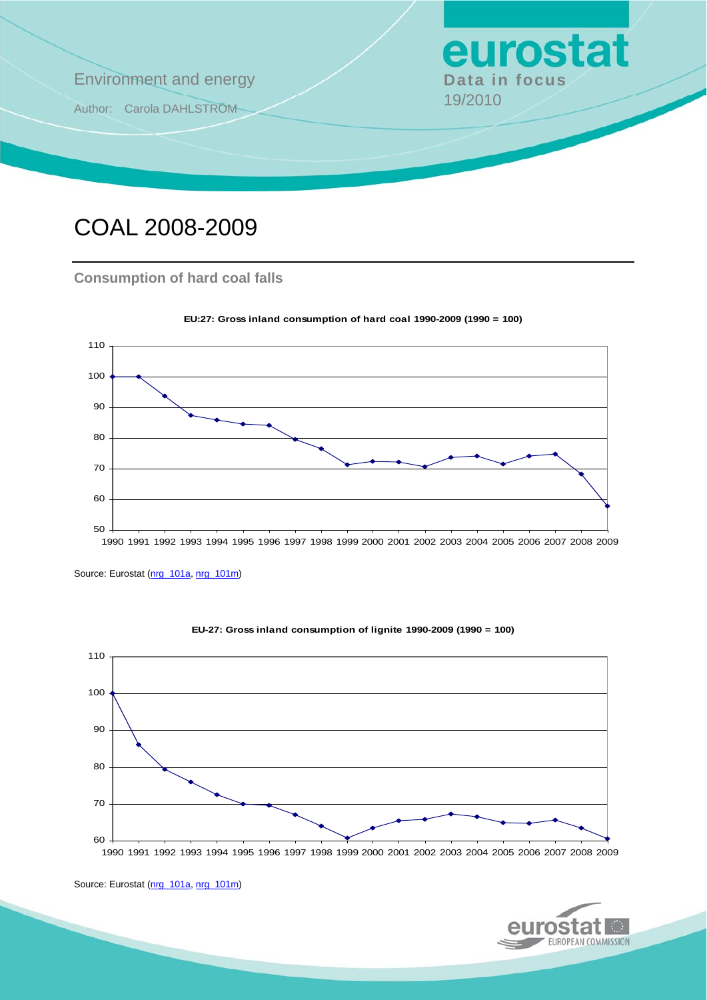

# COAL 2008-2009

### **Consumption of hard coal falls**



**EU:27: Gross inland consumption of hard coal 1990-2009 (1990 = 100)**

Source: Eurostat ([nrg\\_101a,](http://ec.europa.eu/eurostat/product?mode=view&code=nrg_101a) [nrg\\_101m](http://ec.europa.eu/eurostat/product?mode=view&code=nrg_101m))



**EU-27: Gross inland consumption of lignite 1990-2009 (1990 = 100)**

1990 1991 1992 1993 1994 1995 1996 1997 1998 1999 2000 2001 2002 2003 2004 2005 2006 2007 2008 2009



Source: Eurostat ([nrg\\_101a,](http://ec.europa.eu/eurostat/product?mode=view&code=nrg_101a) [nrg\\_101m](http://ec.europa.eu/eurostat/product?mode=view&code=nrg_101m))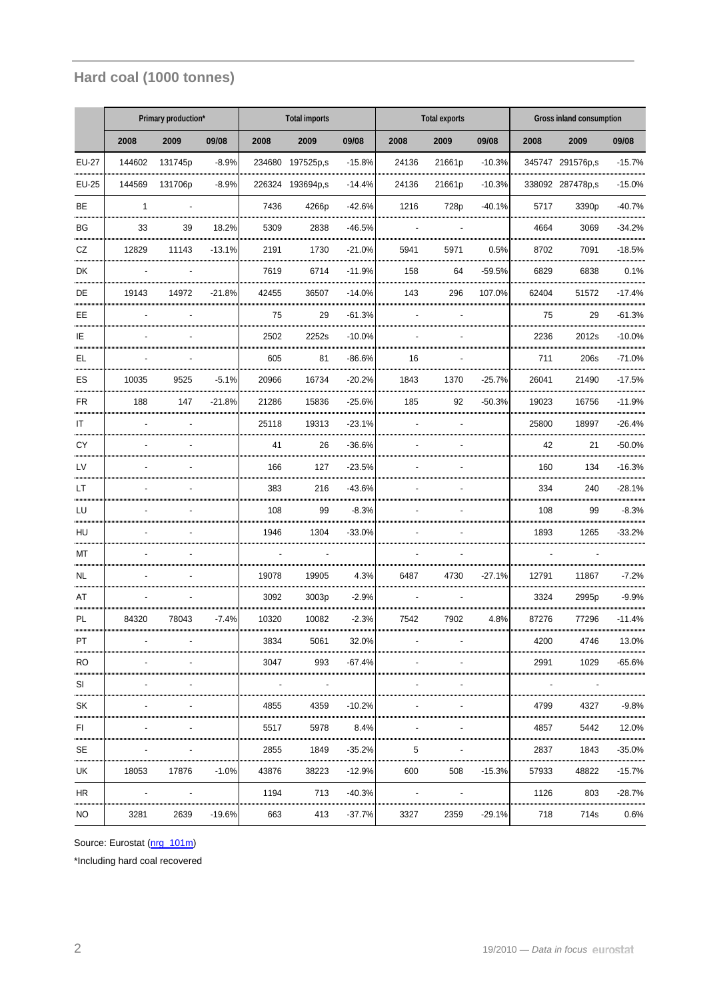## **Hard coal (1000 tonnes)**

|                         | Primary production* |         |          | <b>Total imports</b> |                  |              | <b>Total exports</b> |        |          | Gross inland consumption |                   |              |
|-------------------------|---------------------|---------|----------|----------------------|------------------|--------------|----------------------|--------|----------|--------------------------|-------------------|--------------|
|                         | 2008                | 2009    | 09/08    | 2008                 | 2009             | 09/08        | 2008                 | 2009   | 09/08    | 2008                     | 2009              | 09/08        |
| <b>EU-27</b>            | 144602              | 131745p | $-8.9%$  | 234680               | 197525p.s        | $-15.8%$     | 24136                | 21661p | $-10.3%$ |                          | 345747 291576p,s  | $-15.7%$     |
| EU-25                   | 144569              | 131706p | $-8.9%$  |                      | 226324 193694p,s | $-14.4%$     | 24136                | 21661p | $-10.3%$ |                          | 338092 287478p,s  | $-15.0%$     |
| BE                      | $\mathbf{1}$        |         |          | 7436                 | 4266p            | $-42.6%$     | 1216                 | 728p   | $-40.1%$ | 5717                     | 3390 <sub>p</sub> | $-40.7%$     |
| <b>BG</b>               | 33                  | 39      | 18.2%    | 5309                 | 2838             | $-46.5%$     |                      |        |          | 4664                     | 3069              | $-34.2%$     |
| CZ                      | 12829               | 11143   | $-13.1%$ | 2191                 | 1730             | $-21.0%$     | 5941                 | 5971   | 0.5%     | 8702                     | 7091              | $-18.5%$     |
| DK                      |                     |         |          | 7619                 | 6714             | $-11.9%$     | 158                  | 64     | $-59.5%$ | 6829                     | 6838              | 0.1%         |
| DE                      | 19143               | 14972   | $-21.8%$ | 42455                | 36507            | $-14.0%$     | 143                  | 296    | 107.0%   | 62404                    | 51572             | $-17.4%$     |
| EE                      |                     |         |          | 75                   | 29               | $-61.3%$     |                      |        |          | 75                       | 29                | $-61.3%$     |
| IE                      |                     |         |          | 2502                 | 2252s            | $-10.0%$     |                      |        |          | 2236                     | 2012s             | $-10.0%$     |
| EL                      |                     |         |          | 605                  | 81               | $-86.6%$     | 16                   |        |          | 711                      | 206s              | $-71.0%$     |
| ES                      | 10035               | 9525    | $-5.1%$  | 20966                | 16734            | $-20.2%$     | 1843                 | 1370   | $-25.7%$ | 26041                    | 21490             | $-17.5%$     |
| FR                      | 188                 | 147     | $-21.8%$ | 21286                | 15836            | $-25.6%$     | 185                  | 92     | $-50.3%$ | 19023                    | 16756             | $-11.9%$     |
| IT<br>                  |                     |         |          | 25118                | 19313            | $-23.1%$<br> |                      |        |          | 25800                    | 18997             | $-26.4%$     |
| CY<br>,,,,,,,,,,,,,     |                     |         |          | 41                   | 26<br>           | $-36.6%$<br> |                      |        |          | 42                       | 21                | $-50.0%$<br> |
| LV<br>                  |                     |         |          | 166                  | 127<br>          | $-23.5%$<br> |                      |        |          | 160                      | 134               | $-16.3%$<br> |
| LT                      |                     |         |          | 383                  | 216              | $-43.6%$     |                      |        |          | 334                      | 240               | $-28.1%$     |
| LU<br>                  |                     |         |          | 108                  | 99               | $-8.3%$<br>  |                      |        |          | 108                      | 99                | $-8.3%$<br>  |
| HU                      |                     |         |          | 1946                 | 1304             | $-33.0%$     |                      |        |          | 1893                     | 1265              | $-33.2%$     |
| МT<br>,,,,,,,,,,,,,,,,, |                     |         |          |                      |                  |              |                      |        |          |                          |                   |              |
| <b>NL</b>               |                     |         |          | 19078                | 19905            | 4.3%         | 6487                 | 4730   | $-27.1%$ | 12791                    | 11867             | $-7.2%$      |
| AT                      |                     |         |          | 3092                 | 3003p            | $-2.9%$      |                      |        |          | 3324                     | 2995 <sub>p</sub> | $-9.9%$      |
| <b>PL</b>               | 84320               | 78043   | -7.4%    | 10320                | 10082            | $-2.3%$      | 7542                 | 7902   | 4.8%     | 87276                    | 77296             | $-11.4%$     |
| PT                      |                     |         |          | 3834                 | 5061             | 32.0%        |                      |        |          | 4200                     | 4746              | 13.0%        |
| RO.                     |                     |         |          | 3047                 | 993              | $-67.4%$     |                      |        |          | 2991                     | 1029              | $-65.6%$     |
| <br>SI<br>,,,,,,,,,,,,  |                     |         |          |                      |                  |              |                      |        |          |                          |                   |              |
| SK<br>                  |                     |         |          | 4855                 | 4359             | $-10.2%$     |                      |        |          | 4799                     | 4327              | $-9.8%$<br>  |
| FI                      |                     |         |          | 5517                 | 5978             | 8.4%         |                      |        |          | 4857                     | 5442              | 12.0%        |
| <br><b>SE</b>           |                     |         |          | 2855                 | 1849             | $-35.2%$     | 5                    |        |          | 2837                     | 1843              | $-35.0%$     |
| UK                      | 18053               | 17876   | $-1.0%$  | 43876                | 38223            | $-12.9%$     | 600                  | 508    | $-15.3%$ | 57933                    | 48822             | $-15.7%$     |
| HR                      |                     |         |          | 1194                 | 713              | $-40.3%$     |                      |        |          | 1126                     | 803               | $-28.7%$     |
| NO                      | 3281                | 2639    | $-19.6%$ | 663                  | 413              | $-37.7%$     | 3327                 | 2359   | $-29.1%$ | 718                      | 714s              | 0.6%         |

Source: Eurostat ([nrg\\_101m\)](http://ec.europa.eu/eurostat/product?mode=view&code=nrg_101m)

\*Including hard coal recovered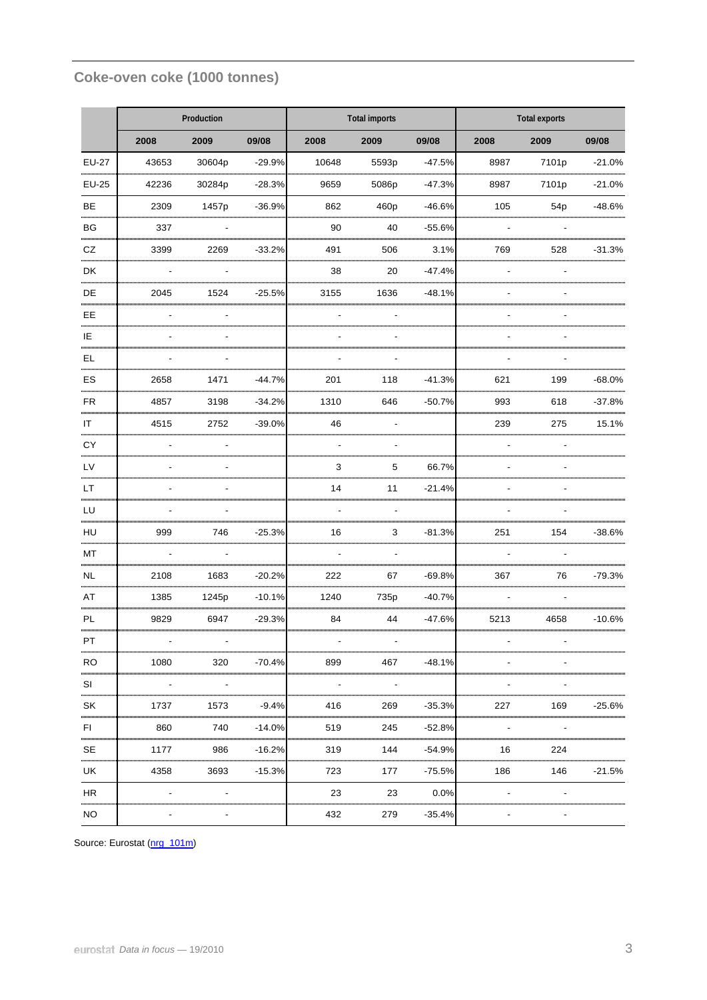## **Coke-oven coke (1000 tonnes)**

|                              |       | Production |          |                                        | <b>Total imports</b> |              | <b>Total exports</b> |                 |          |  |
|------------------------------|-------|------------|----------|----------------------------------------|----------------------|--------------|----------------------|-----------------|----------|--|
|                              | 2008  | 2009       | 09/08    | 2008                                   | 2009                 | 09/08        | 2008                 | 2009            | 09/08    |  |
| <b>EU-27</b>                 | 43653 | 30604p     | $-29.9%$ | 10648                                  | 5593p                | $-47.5%$     | 8987                 | 7101p           | $-21.0%$ |  |
| <b>EU-25</b>                 | 42236 | 30284p     | $-28.3%$ | 9659                                   | 5086p                | $-47.3%$     | 8987                 | 7101p           | $-21.0%$ |  |
| <b>BE</b><br>                | 2309  | 1457p      | $-36.9%$ | 862                                    | 460p                 | $-46.6%$     | 105                  | 54 <sub>p</sub> | $-48.6%$ |  |
| BG<br>                       | 337   |            |          | 90                                     | 40                   | $-55.6%$<br> |                      |                 |          |  |
| CZ<br>                       | 3399  | 2269       | $-33.2%$ | 491                                    | 506                  | 3.1%         | 769                  | 528             | $-31.3%$ |  |
| DK<br>                       |       |            |          | 38                                     | 20                   | $-47.4%$     |                      |                 |          |  |
| <b>DE</b>                    | 2045  | 1524       | $-25.5%$ | 3155                                   | 1636                 | $-48.1%$     |                      |                 |          |  |
| EE<br>                       |       |            |          |                                        |                      |              |                      |                 |          |  |
| IE                           |       |            |          |                                        |                      |              |                      |                 |          |  |
| EL<br>                       |       |            |          |                                        |                      |              |                      |                 |          |  |
| ES                           | 2658  | 1471       | $-44.7%$ | 201                                    | 118                  | $-41.3%$     | 621                  | 199             | $-68.0%$ |  |
| <b>FR</b><br>                | 4857  | 3198       | $-34.2%$ | 1310                                   | 646                  | $-50.7%$     | 993                  | 618             | $-37.8%$ |  |
| IT<br>                       | 4515  | 2752       | $-39.0%$ | 46                                     |                      |              | 239                  | 275             | 15.1%    |  |
| CY<br>                       |       |            |          |                                        |                      |              |                      |                 |          |  |
| LV                           |       |            |          | 3                                      | 5                    | 66.7%<br>    |                      |                 |          |  |
| LT<br>                       |       |            |          | 14                                     | 11                   | $-21.4%$     |                      |                 |          |  |
| LU                           |       |            |          |                                        |                      |              |                      |                 |          |  |
| HU                           | 999   | 746        | $-25.3%$ | 16                                     | 3                    | $-81.3%$     | 251                  | 154             | $-38.6%$ |  |
| MT<br>                       |       |            |          | ,,,,,,,,,,,,,,,,,,,,,,,,,,,,,,,,,,,,,, |                      |              |                      |                 |          |  |
| <b>NL</b><br>                | 2108  | 1683       | $-20.2%$ | 222                                    | 67                   | $-69.8%$     | 367                  | 76              | $-79.3%$ |  |
| AT<br>                       | 1385  | 1245p      | $-10.1%$ | 1240                                   | 735p                 | $-40.7%$     |                      |                 |          |  |
| PL                           | 9829  | 6947       | $-29.3%$ | 84                                     | 44                   | $-47.6%$     | 5213                 | 4658            | $-10.6%$ |  |
| PT                           |       |            |          |                                        |                      |              |                      |                 |          |  |
| <br><b>RO</b>                | 1080  | 320        | $-70.4%$ | 899                                    | 467                  | $-48.1%$     |                      |                 |          |  |
| ,,,,,,,,,,,,,,,,,,,,,,<br>SI |       |            |          |                                        |                      |              |                      |                 |          |  |
| ,,,,,,,,,,,,,,,,,,,,,<br>SK  | 1737  | 1573       | $-9.4%$  | 416                                    | 269                  | $-35.3%$     | 227                  | 169             | -25.6%   |  |
| ,,,,,,,,,,,,,,,,,,,<br>FI    | 860   | 740        | $-14.0%$ | 519                                    | 245                  | $-52.8%$     |                      |                 |          |  |
| <br>SE                       | 1177  | 986        | $-16.2%$ | 319                                    | 144                  | $-54.9%$     | 16                   | 224             |          |  |
| UK                           | 4358  | 3693       | $-15.3%$ | 723                                    | 177                  | $-75.5%$     | 186                  | 146             | $-21.5%$ |  |
| <b>HR</b>                    |       |            |          | 23                                     | 23                   | 0.0%         |                      |                 |          |  |
| NO.                          |       |            |          | 432                                    | 279                  | $-35.4%$     |                      |                 |          |  |

Source: Eurostat ([nrg\\_101m\)](http://ec.europa.eu/eurostat/product?mode=view&code=nrg_101m)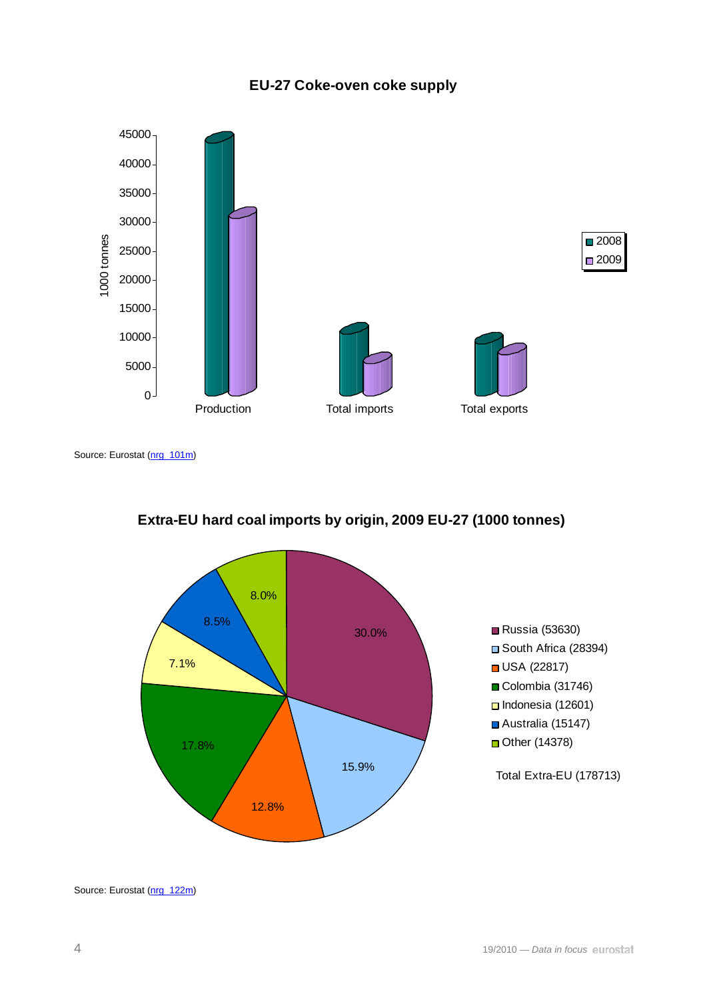#### **EU-27 Coke-oven coke supply**



Source: Eurostat ([nrg\\_101m\)](http://ec.europa.eu/eurostat/product?mode=view&code=nrg_101m)





Source: Eurostat ([nrg\\_122m\)](http://ec.europa.eu/eurostat/product?mode=view&code=nrg_122m)